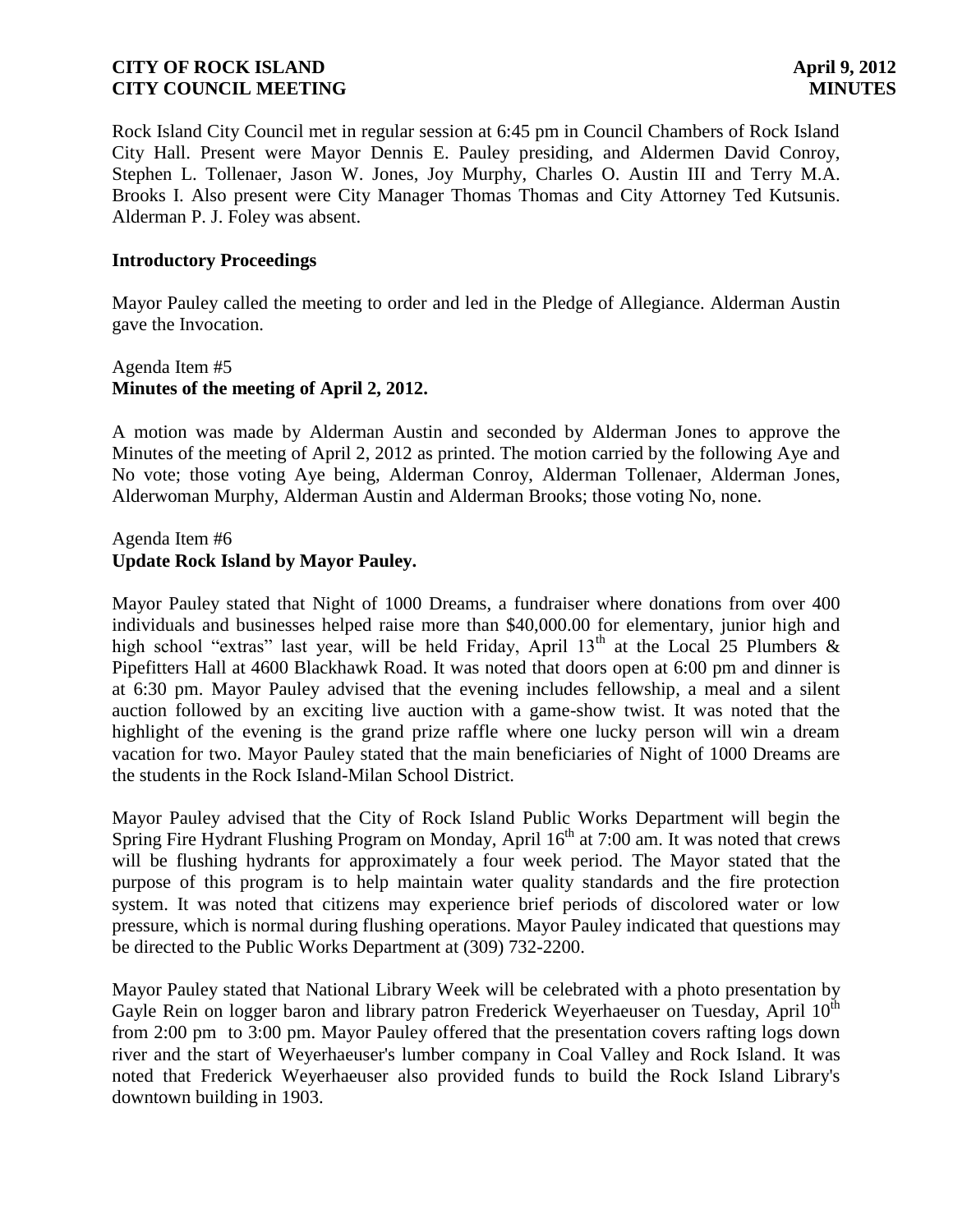Rock Island City Council met in regular session at 6:45 pm in Council Chambers of Rock Island City Hall. Present were Mayor Dennis E. Pauley presiding, and Aldermen David Conroy, Stephen L. Tollenaer, Jason W. Jones, Joy Murphy, Charles O. Austin III and Terry M.A. Brooks I. Also present were City Manager Thomas Thomas and City Attorney Ted Kutsunis. Alderman P. J. Foley was absent.

### **Introductory Proceedings**

Mayor Pauley called the meeting to order and led in the Pledge of Allegiance. Alderman Austin gave the Invocation.

# Agenda Item #5 **Minutes of the meeting of April 2, 2012.**

A motion was made by Alderman Austin and seconded by Alderman Jones to approve the Minutes of the meeting of April 2, 2012 as printed. The motion carried by the following Aye and No vote; those voting Aye being, Alderman Conroy, Alderman Tollenaer, Alderman Jones, Alderwoman Murphy, Alderman Austin and Alderman Brooks; those voting No, none.

### Agenda Item #6 **Update Rock Island by Mayor Pauley.**

Mayor Pauley stated that Night of 1000 Dreams, a fundraiser where donations from over 400 individuals and businesses helped raise more than \$40,000.00 for elementary, junior high and high school "extras" last year, will be held Friday, April  $13<sup>th</sup>$  at the Local 25 Plumbers & Pipefitters Hall at 4600 Blackhawk Road. It was noted that doors open at 6:00 pm and dinner is at 6:30 pm. Mayor Pauley advised that the evening includes fellowship, a meal and a silent auction followed by an exciting live auction with a game-show twist. It was noted that the highlight of the evening is the grand prize raffle where one lucky person will win a dream vacation for two. Mayor Pauley stated that the main beneficiaries of Night of 1000 Dreams are the students in the Rock Island-Milan School District.

Mayor Pauley advised that the City of Rock Island Public Works Department will begin the Spring Fire Hydrant Flushing Program on Monday, April  $16<sup>th</sup>$  at 7:00 am. It was noted that crews will be flushing hydrants for approximately a four week period. The Mayor stated that the purpose of this program is to help maintain water quality standards and the fire protection system. It was noted that citizens may experience brief periods of discolored water or low pressure, which is normal during flushing operations. Mayor Pauley indicated that questions may be directed to the Public Works Department at (309) 732-2200.

Mayor Pauley stated that National Library Week will be celebrated with a photo presentation by Gayle Rein on logger baron and library patron Frederick Weyerhaeuser on Tuesday, April 10<sup>th</sup> from 2:00 pm to 3:00 pm. Mayor Pauley offered that the presentation covers rafting logs down river and the start of Weyerhaeuser's lumber company in Coal Valley and Rock Island. It was noted that Frederick Weyerhaeuser also provided funds to build the Rock Island Library's downtown building in 1903.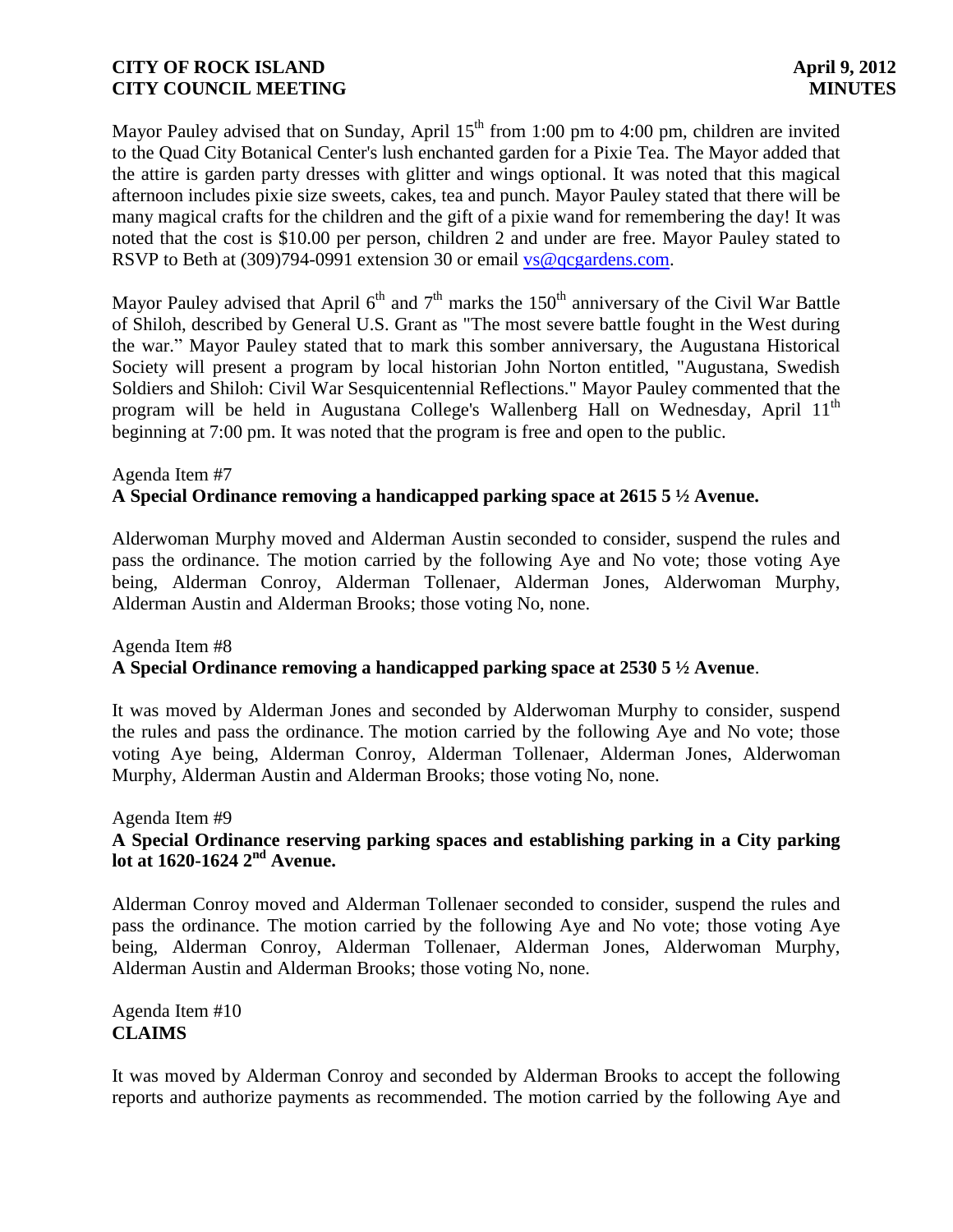Mayor Pauley advised that on Sunday, April  $15<sup>th</sup>$  from 1:00 pm to 4:00 pm, children are invited to the Quad City Botanical Center's lush enchanted garden for a Pixie Tea. The Mayor added that the attire is garden party dresses with glitter and wings optional. It was noted that this magical afternoon includes pixie size sweets, cakes, tea and punch. Mayor Pauley stated that there will be many magical crafts for the children and the gift of a pixie wand for remembering the day! It was noted that the cost is \$10.00 per person, children 2 and under are free. Mayor Pauley stated to RSVP to Beth at (309)794-0991 extension 30 or email [vs@qcgardens.com.](mailto:vs@qcgardens.com)

Mayor Pauley advised that April  $6<sup>th</sup>$  and  $7<sup>th</sup>$  marks the 150<sup>th</sup> anniversary of the Civil War Battle of Shiloh, described by General U.S. Grant as "The most severe battle fought in the West during the war." Mayor Pauley stated that to mark this somber anniversary, the Augustana Historical Society will present a program by local historian John Norton entitled, "Augustana, Swedish Soldiers and Shiloh: Civil War Sesquicentennial Reflections." Mayor Pauley commented that the program will be held in Augustana College's Wallenberg Hall on Wednesday, April 11<sup>th</sup> beginning at 7:00 pm. It was noted that the program is free and open to the public.

# Agenda Item #7 **A Special Ordinance removing a handicapped parking space at 2615 5 ½ Avenue.**

Alderwoman Murphy moved and Alderman Austin seconded to consider, suspend the rules and pass the ordinance. The motion carried by the following Aye and No vote; those voting Aye being, Alderman Conroy, Alderman Tollenaer, Alderman Jones, Alderwoman Murphy, Alderman Austin and Alderman Brooks; those voting No, none.

# Agenda Item #8 **A Special Ordinance removing a handicapped parking space at 2530 5 ½ Avenue**.

It was moved by Alderman Jones and seconded by Alderwoman Murphy to consider, suspend the rules and pass the ordinance. The motion carried by the following Aye and No vote; those voting Aye being, Alderman Conroy, Alderman Tollenaer, Alderman Jones, Alderwoman Murphy, Alderman Austin and Alderman Brooks; those voting No, none.

### Agenda Item #9 **A Special Ordinance reserving parking spaces and establishing parking in a City parking lot at 1620-1624 2nd Avenue.**

Alderman Conroy moved and Alderman Tollenaer seconded to consider, suspend the rules and pass the ordinance. The motion carried by the following Aye and No vote; those voting Aye being, Alderman Conroy, Alderman Tollenaer, Alderman Jones, Alderwoman Murphy, Alderman Austin and Alderman Brooks; those voting No, none.

Agenda Item #10 **CLAIMS**

It was moved by Alderman Conroy and seconded by Alderman Brooks to accept the following reports and authorize payments as recommended. The motion carried by the following Aye and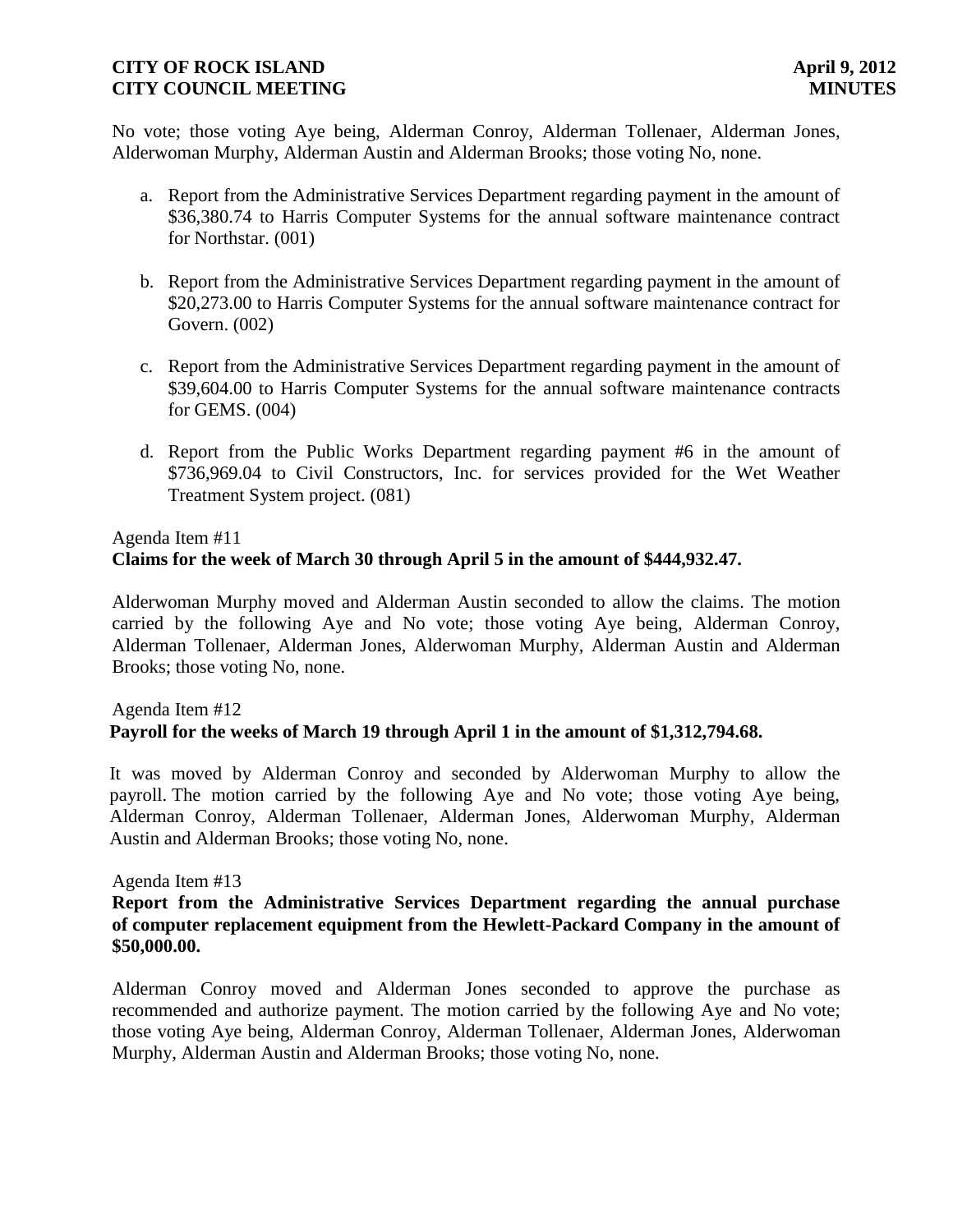No vote; those voting Aye being, Alderman Conroy, Alderman Tollenaer, Alderman Jones, Alderwoman Murphy, Alderman Austin and Alderman Brooks; those voting No, none.

- a. Report from the Administrative Services Department regarding payment in the amount of \$36,380.74 to Harris Computer Systems for the annual software maintenance contract for Northstar. (001)
- b. Report from the Administrative Services Department regarding payment in the amount of \$20,273.00 to Harris Computer Systems for the annual software maintenance contract for Govern. (002)
- c. Report from the Administrative Services Department regarding payment in the amount of \$39,604.00 to Harris Computer Systems for the annual software maintenance contracts for GEMS. (004)
- d. Report from the Public Works Department regarding payment #6 in the amount of \$736,969.04 to Civil Constructors, Inc. for services provided for the Wet Weather Treatment System project. (081)

# Agenda Item #11

# **Claims for the week of March 30 through April 5 in the amount of \$444,932.47.**

Alderwoman Murphy moved and Alderman Austin seconded to allow the claims. The motion carried by the following Aye and No vote; those voting Aye being, Alderman Conroy, Alderman Tollenaer, Alderman Jones, Alderwoman Murphy, Alderman Austin and Alderman Brooks; those voting No, none.

# Agenda Item #12 **Payroll for the weeks of March 19 through April 1 in the amount of \$1,312,794.68.**

It was moved by Alderman Conroy and seconded by Alderwoman Murphy to allow the payroll. The motion carried by the following Aye and No vote; those voting Aye being, Alderman Conroy, Alderman Tollenaer, Alderman Jones, Alderwoman Murphy, Alderman Austin and Alderman Brooks; those voting No, none.

### Agenda Item #13

## **Report from the Administrative Services Department regarding the annual purchase of computer replacement equipment from the Hewlett-Packard Company in the amount of \$50,000.00.**

Alderman Conroy moved and Alderman Jones seconded to approve the purchase as recommended and authorize payment. The motion carried by the following Aye and No vote; those voting Aye being, Alderman Conroy, Alderman Tollenaer, Alderman Jones, Alderwoman Murphy, Alderman Austin and Alderman Brooks; those voting No, none.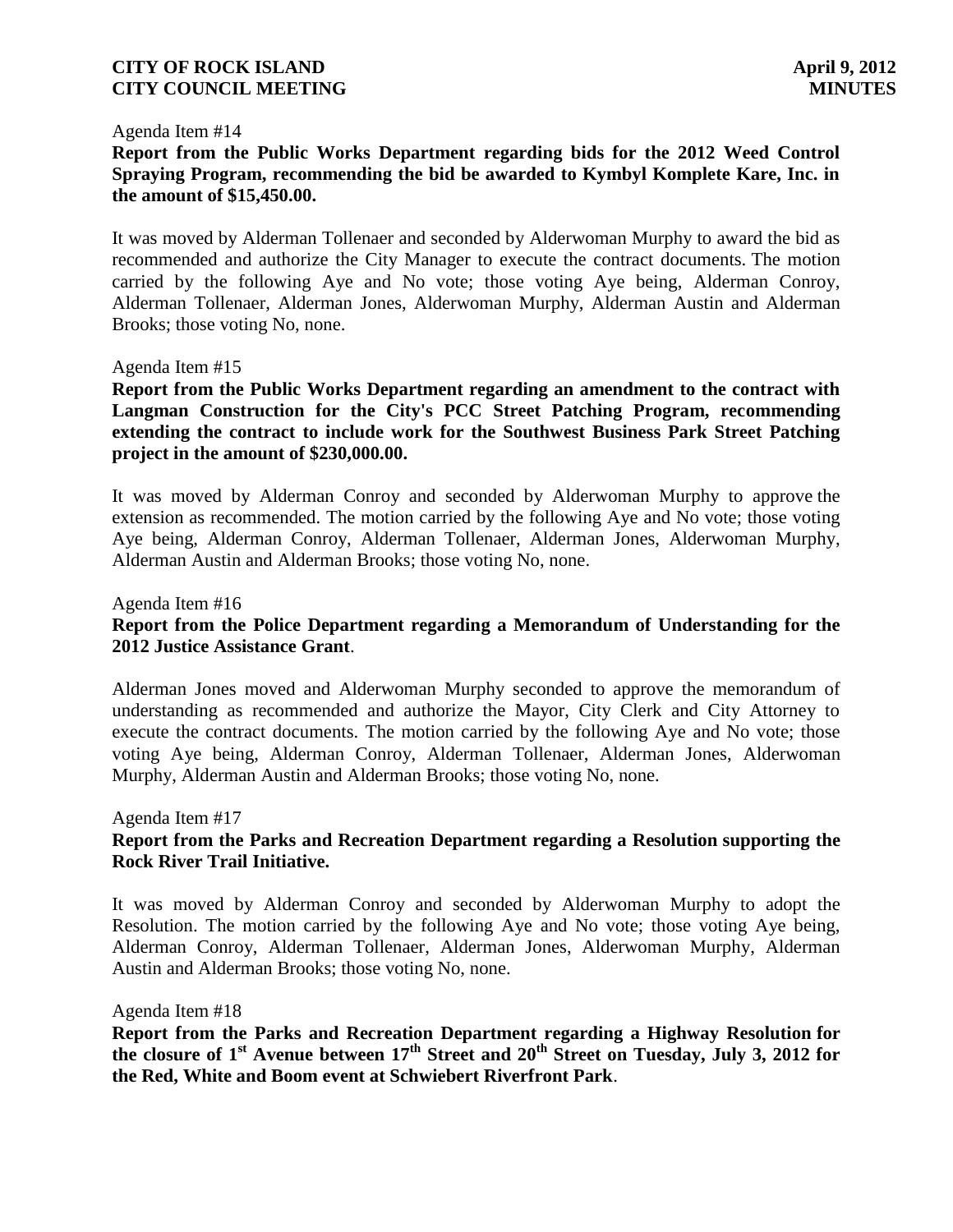#### Agenda Item #14

## **Report from the Public Works Department regarding bids for the 2012 Weed Control Spraying Program, recommending the bid be awarded to Kymbyl Komplete Kare, Inc. in the amount of \$15,450.00.**

It was moved by Alderman Tollenaer and seconded by Alderwoman Murphy to award the bid as recommended and authorize the City Manager to execute the contract documents. The motion carried by the following Aye and No vote; those voting Aye being, Alderman Conroy, Alderman Tollenaer, Alderman Jones, Alderwoman Murphy, Alderman Austin and Alderman Brooks; those voting No, none.

#### Agenda Item #15

# **Report from the Public Works Department regarding an amendment to the contract with Langman Construction for the City's PCC Street Patching Program, recommending extending the contract to include work for the Southwest Business Park Street Patching project in the amount of \$230,000.00.**

It was moved by Alderman Conroy and seconded by Alderwoman Murphy to approve the extension as recommended. The motion carried by the following Aye and No vote; those voting Aye being, Alderman Conroy, Alderman Tollenaer, Alderman Jones, Alderwoman Murphy, Alderman Austin and Alderman Brooks; those voting No, none.

# Agenda Item #16 **Report from the Police Department regarding a Memorandum of Understanding for the 2012 Justice Assistance Grant**.

Alderman Jones moved and Alderwoman Murphy seconded to approve the memorandum of understanding as recommended and authorize the Mayor, City Clerk and City Attorney to execute the contract documents. The motion carried by the following Aye and No vote; those voting Aye being, Alderman Conroy, Alderman Tollenaer, Alderman Jones, Alderwoman Murphy, Alderman Austin and Alderman Brooks; those voting No, none.

#### Agenda Item #17

### **Report from the Parks and Recreation Department regarding a Resolution supporting the Rock River Trail Initiative.**

It was moved by Alderman Conroy and seconded by Alderwoman Murphy to adopt the Resolution. The motion carried by the following Aye and No vote; those voting Aye being, Alderman Conroy, Alderman Tollenaer, Alderman Jones, Alderwoman Murphy, Alderman Austin and Alderman Brooks; those voting No, none.

#### Agenda Item #18

 **Report from the Parks and Recreation Department regarding a Highway Resolution for the closure of 1st Avenue between 17th Street and 20th Street on Tuesday, July 3, 2012 for the Red, White and Boom event at Schwiebert Riverfront Park**.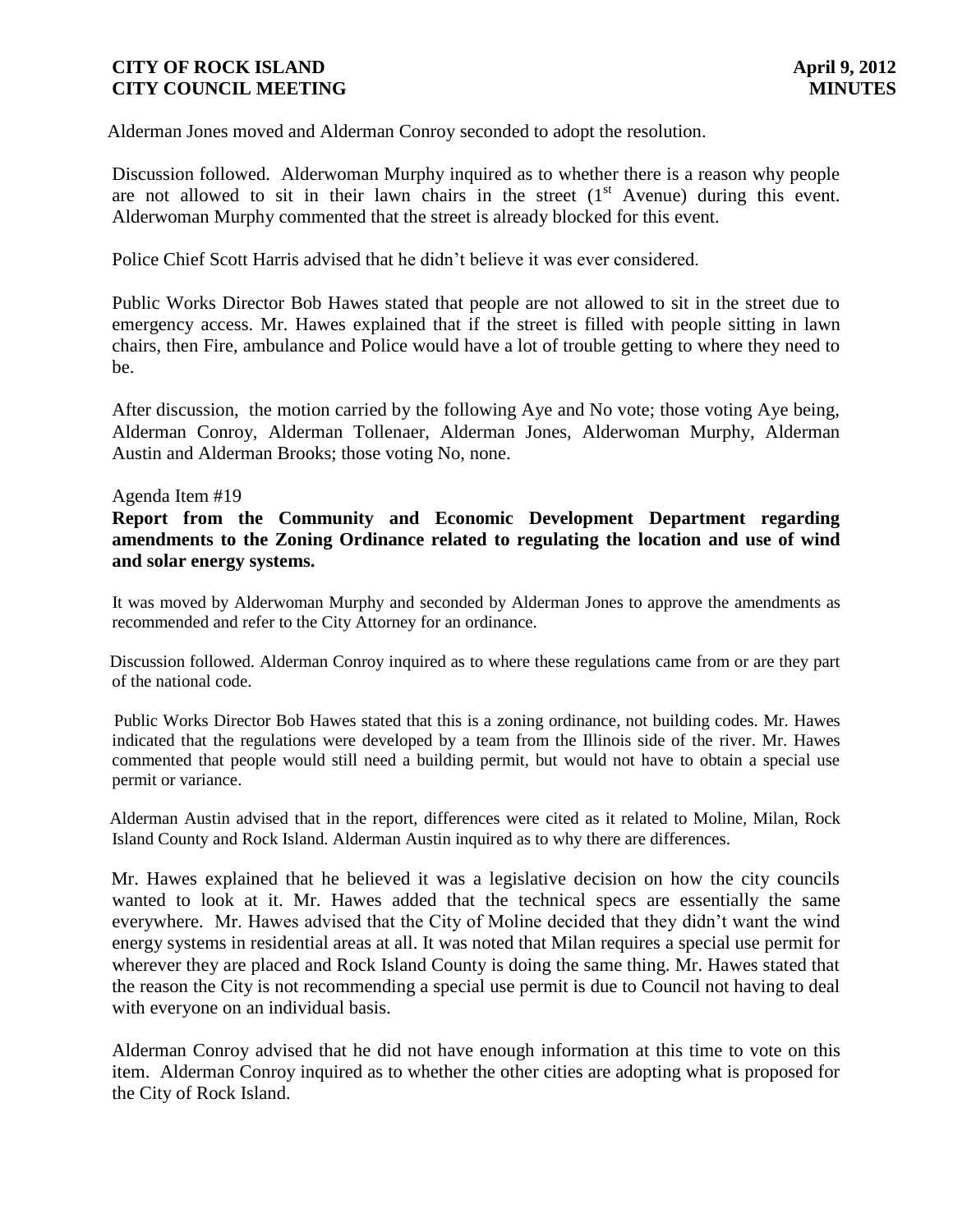Alderman Jones moved and Alderman Conroy seconded to adopt the resolution.

Discussion followed. Alderwoman Murphy inquired as to whether there is a reason why people are not allowed to sit in their lawn chairs in the street  $(1<sup>st</sup>$  Avenue) during this event. Alderwoman Murphy commented that the street is already blocked for this event.

Police Chief Scott Harris advised that he didn't believe it was ever considered.

 Public Works Director Bob Hawes stated that people are not allowed to sit in the street due to emergency access. Mr. Hawes explained that if the street is filled with people sitting in lawn chairs, then Fire, ambulance and Police would have a lot of trouble getting to where they need to be.

 After discussion, the motion carried by the following Aye and No vote; those voting Aye being, Alderman Conroy, Alderman Tollenaer, Alderman Jones, Alderwoman Murphy, Alderman Austin and Alderman Brooks; those voting No, none.

#### Agenda Item #19

**Report from the Community and Economic Development Department regarding amendments to the Zoning Ordinance related to regulating the location and use of wind and solar energy systems.**

 It was moved by Alderwoman Murphy and seconded by Alderman Jones to approve the amendments as recommended and refer to the City Attorney for an ordinance.

 Discussion followed. Alderman Conroy inquired as to where these regulations came from or are they part of the national code.

 Public Works Director Bob Hawes stated that this is a zoning ordinance, not building codes. Mr. Hawes indicated that the regulations were developed by a team from the Illinois side of the river. Mr. Hawes commented that people would still need a building permit, but would not have to obtain a special use permit or variance.

 Alderman Austin advised that in the report, differences were cited as it related to Moline, Milan, Rock Island County and Rock Island. Alderman Austin inquired as to why there are differences.

 Mr. Hawes explained that he believed it was a legislative decision on how the city councils wanted to look at it. Mr. Hawes added that the technical specs are essentially the same everywhere. Mr. Hawes advised that the City of Moline decided that they didn't want the wind energy systems in residential areas at all. It was noted that Milan requires a special use permit for wherever they are placed and Rock Island County is doing the same thing. Mr. Hawes stated that the reason the City is not recommending a special use permit is due to Council not having to deal with everyone on an individual basis.

 Alderman Conroy advised that he did not have enough information at this time to vote on this item. Alderman Conroy inquired as to whether the other cities are adopting what is proposed for the City of Rock Island.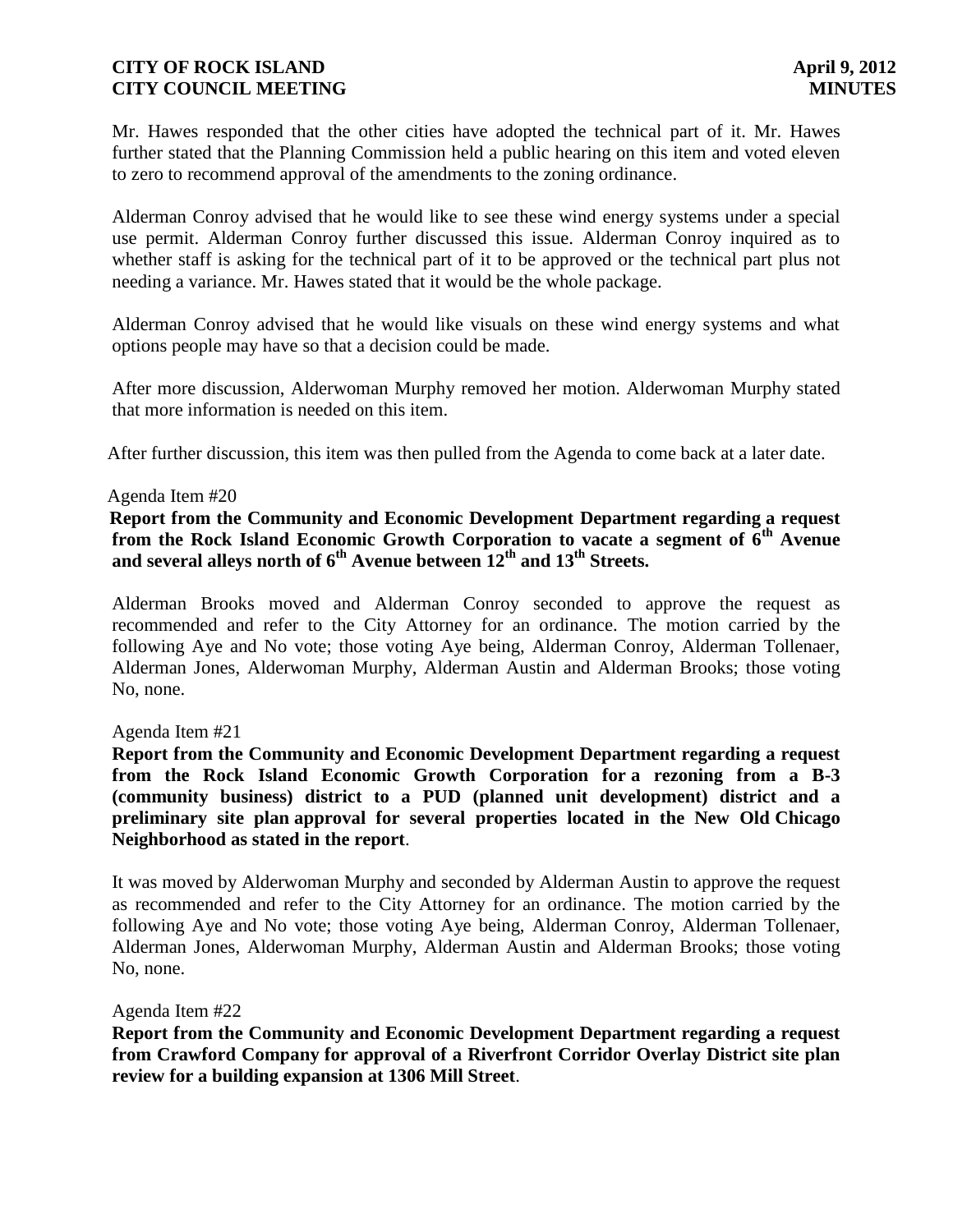Mr. Hawes responded that the other cities have adopted the technical part of it. Mr. Hawes further stated that the Planning Commission held a public hearing on this item and voted eleven to zero to recommend approval of the amendments to the zoning ordinance.

Alderman Conroy advised that he would like to see these wind energy systems under a special use permit. Alderman Conroy further discussed this issue. Alderman Conroy inquired as to whether staff is asking for the technical part of it to be approved or the technical part plus not needing a variance. Mr. Hawes stated that it would be the whole package.

Alderman Conroy advised that he would like visuals on these wind energy systems and what options people may have so that a decision could be made.

 After more discussion, Alderwoman Murphy removed her motion. Alderwoman Murphy stated that more information is needed on this item.

After further discussion, this item was then pulled from the Agenda to come back at a later date.

#### Agenda Item #20

**Report from the Community and Economic Development Department regarding a request from the Rock Island Economic Growth Corporation to vacate a segment of 6th Avenue and several alleys north of 6th Avenue between 12th and 13th Streets.**

Alderman Brooks moved and Alderman Conroy seconded to approve the request as recommended and refer to the City Attorney for an ordinance. The motion carried by the following Aye and No vote; those voting Aye being, Alderman Conroy, Alderman Tollenaer, Alderman Jones, Alderwoman Murphy, Alderman Austin and Alderman Brooks; those voting No, none.

### Agenda Item #21

**Report from the Community and Economic Development Department regarding a request from the Rock Island Economic Growth Corporation for a rezoning from a B-3 (community business) district to a PUD (planned unit development) district and a preliminary site plan approval for several properties located in the New Old Chicago Neighborhood as stated in the report**.

It was moved by Alderwoman Murphy and seconded by Alderman Austin to approve the request as recommended and refer to the City Attorney for an ordinance. The motion carried by the following Aye and No vote; those voting Aye being, Alderman Conroy, Alderman Tollenaer, Alderman Jones, Alderwoman Murphy, Alderman Austin and Alderman Brooks; those voting No, none.

Agenda Item #22

**Report from the Community and Economic Development Department regarding a request from Crawford Company for approval of a Riverfront Corridor Overlay District site plan review for a building expansion at 1306 Mill Street**.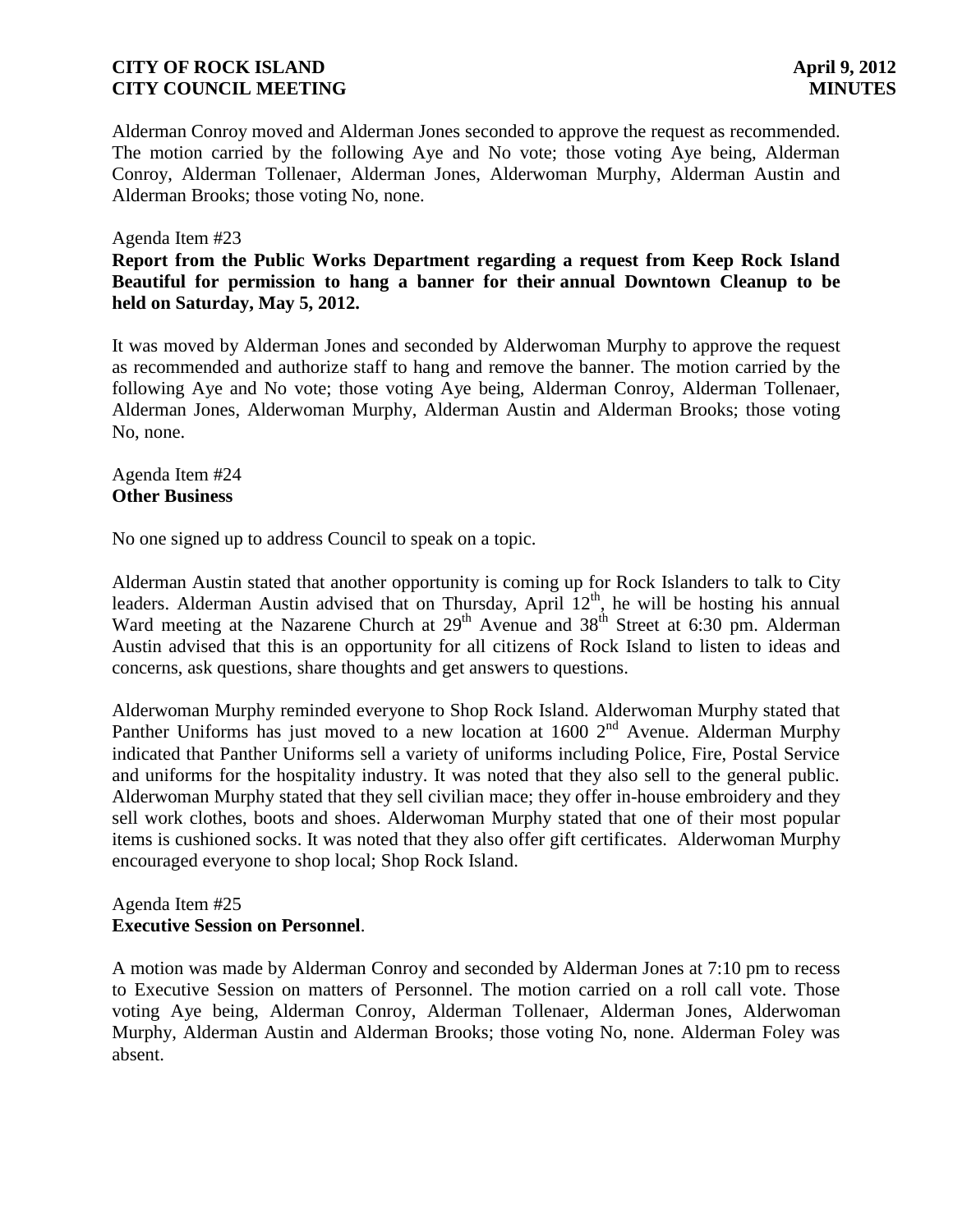Alderman Conroy moved and Alderman Jones seconded to approve the request as recommended. The motion carried by the following Aye and No vote; those voting Aye being, Alderman Conroy, Alderman Tollenaer, Alderman Jones, Alderwoman Murphy, Alderman Austin and Alderman Brooks; those voting No, none.

#### Agenda Item #23

**Report from the Public Works Department regarding a request from Keep Rock Island Beautiful for permission to hang a banner for their annual Downtown Cleanup to be held on Saturday, May 5, 2012.**

It was moved by Alderman Jones and seconded by Alderwoman Murphy to approve the request as recommended and authorize staff to hang and remove the banner. The motion carried by the following Aye and No vote; those voting Aye being, Alderman Conroy, Alderman Tollenaer, Alderman Jones, Alderwoman Murphy, Alderman Austin and Alderman Brooks; those voting No, none.

Agenda Item #24 **Other Business**

No one signed up to address Council to speak on a topic.

Alderman Austin stated that another opportunity is coming up for Rock Islanders to talk to City leaders. Alderman Austin advised that on Thursday, April  $12<sup>th</sup>$ , he will be hosting his annual Ward meeting at the Nazarene Church at 29<sup>th</sup> Avenue and 38<sup>th</sup> Street at 6:30 pm. Alderman Austin advised that this is an opportunity for all citizens of Rock Island to listen to ideas and concerns, ask questions, share thoughts and get answers to questions.

Alderwoman Murphy reminded everyone to Shop Rock Island. Alderwoman Murphy stated that Panther Uniforms has just moved to a new location at  $1600 \, 2^{nd}$  Avenue. Alderman Murphy indicated that Panther Uniforms sell a variety of uniforms including Police, Fire, Postal Service and uniforms for the hospitality industry. It was noted that they also sell to the general public. Alderwoman Murphy stated that they sell civilian mace; they offer in-house embroidery and they sell work clothes, boots and shoes. Alderwoman Murphy stated that one of their most popular items is cushioned socks. It was noted that they also offer gift certificates. Alderwoman Murphy encouraged everyone to shop local; Shop Rock Island.

### Agenda Item #25 **Executive Session on Personnel**.

A motion was made by Alderman Conroy and seconded by Alderman Jones at 7:10 pm to recess to Executive Session on matters of Personnel. The motion carried on a roll call vote. Those voting Aye being, Alderman Conroy, Alderman Tollenaer, Alderman Jones, Alderwoman Murphy, Alderman Austin and Alderman Brooks; those voting No, none. Alderman Foley was absent.